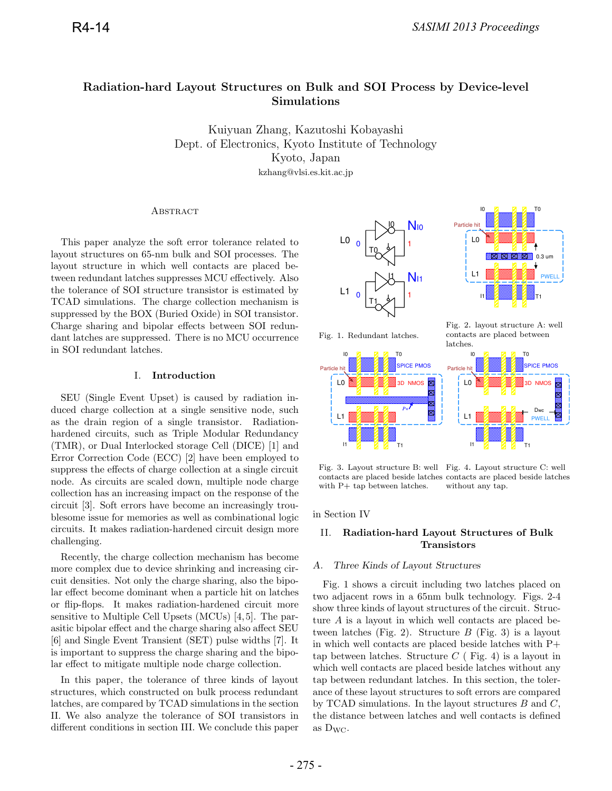# **Radiation-hard Layout Structures on Bulk and SOI Process by Device-level Simulations**

Kuiyuan Zhang, Kazutoshi Kobayashi<br>Dept. of Electronics, Kyoto Institute of Technology Kyoto, Japan kzhang@vlsi.es.kit.ac.jp  $k = k$  . Expresses the strip  $\mathbf{r}_i$ 

#### **ABSTRACT**

This paper analyze the soft error tolerance related to layout structures on 65-nm bulk and SOI processes. The layout structure in which well contacts are placed between redundant latches suppresses MCU effectively. Also the tolerance of SOI structure transistor is estimated by TCAD simulations. The charge collection mechanism is suppressed by the BOX (Buried Oxide) in SOI transistor. Charge sharing and bipolar effects between SOI redundant latches are suppressed. There is no MCU occurrence in SOI redundant latches.

### I. **Introduction**

SEU (Single Event Upset) is caused by radiation induced charge collection at a single sensitive node, such as the drain region of a single transistor. Radiationhardened circuits, such as Triple Modular Redundancy (TMR), or Dual Interlocked storage Cell (DICE) [1] and Error Correction Code (ECC) [2] have been employed to suppress the effects of charge collection at a single circuit node. As circuits are scaled down, multiple node charge collection has an increasing impact on the response of the circuit [3]. Soft errors have become an increasingly troublesome issue for memories as well as combinational logic circuits. It makes radiation-hardened circuit design more challenging.

Recently, the charge collection mechanism has become more complex due to device shrinking and increasing circuit densities. Not only the charge sharing, also the bipolar effect become dominant when a particle hit on latches or flip-flops. It makes radiation-hardened circuit more sensitive to Multiple Cell Upsets (MCUs) [4, 5]. The parasitic bipolar effect and the charge sharing also affect SEU [6] and Single Event Transient (SET) pulse widths [7]. It is important to suppress the charge sharing and the bipolar effect to mitigate multiple node charge collection.

In this paper, the tolerance of three kinds of layout structures, which constructed on bulk process redundant latches, are compared by TCAD simulations in the section II. We also analyze the tolerance of SOI transistors in different conditions in section III. We conclude this paper





Fig. 1. Redundant latches.

Fig. 2. layout structure A: well contacts are placed between latches. IO **ZI ZI ZI** TO



Fig. 3. Layout structure B: well Fig. 4. Layout structure C: well contacts are placed beside latches contacts are placed beside latches with P+ tap between latches. without any tap.

in Section IV

# II. **Radiation-hard Layout Structures of Bulk Transistors**

### A. Three Kinds of Layout Structures

Fig. 1 shows a circuit including two latches placed on two adjacent rows in a 65nm bulk technology. Figs. 2-4 show three kinds of layout structures of the circuit. Structure A is a layout in which well contacts are placed between latches (Fig. 2). Structure  $B$  (Fig. 3) is a layout in which well contacts are placed beside latches with P+ tap between latches. Structure  $C$  (Fig. 4) is a layout in which well contacts are placed beside latches without any tap between redundant latches. In this section, the tolerance of these layout structures to soft errors are compared by TCAD simulations. In the layout structures  $B$  and  $C$ , the distance between latches and well contacts is defined as  $D_{WC}$ .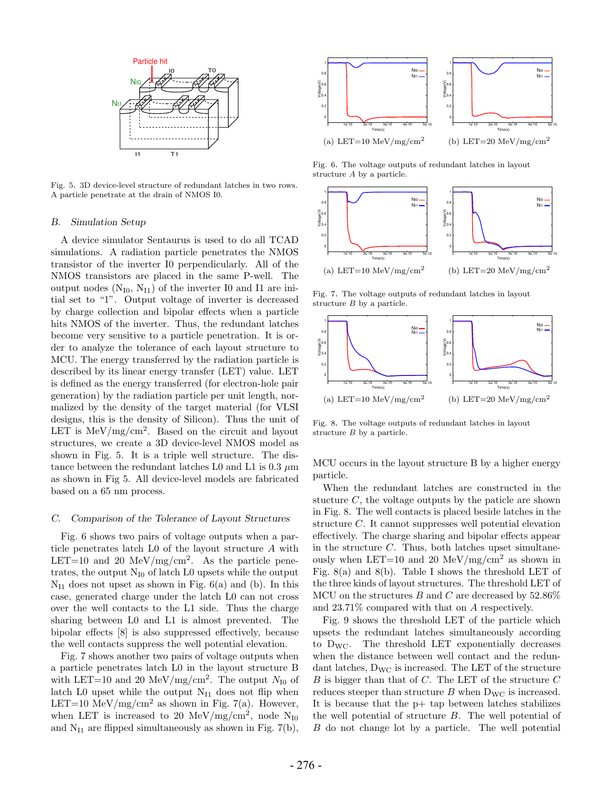

Fig. 5. 3D device-level structure of redundant latches in two rows. A particle penetrate at the drain of NMOS I0.

#### B. Simulation Setup

A device simulator Sentaurus is used to do all TCAD simulations. A radiation particle penetrates the NMOS transistor of the inverter I0 perpendicularly. All of the NMOS transistors are placed in the same P-well. The output nodes  $(N_{I0}, N_{I1})$  of the inverter I0 and I1 are initial set to "1". Output voltage of inverter is decreased by charge collection and bipolar effects when a particle hits NMOS of the inverter. Thus, the redundant latches become very sensitive to a particle penetration. It is order to analyze the tolerance of each layout structure to MCU. The energy transferred by the radiation particle is described by its linear energy transfer (LET) value. LET is defined as the energy transferred (for electron-hole pair generation) by the radiation particle per unit length, normalized by the density of the target material (for VLSI designs, this is the density of Silicon). Thus the unit of LET is  $MeV/mg/cm^2$ . Based on the circuit and layout structures, we create a 3D device-level NMOS model as shown in Fig. 5. It is a triple well structure. The distance between the redundant latches L0 and L1 is  $0.3 \mu m$ as shown in Fig 5. All device-level models are fabricated based on a 65 nm process.

#### C. Comparison of the Tolerance of Layout Structures

Fig. 6 shows two pairs of voltage outputs when a particle penetrates latch L0 of the layout structure A with LET=10 and 20 MeV/mg/cm<sup>2</sup>. As the particle penetrates, the output  $N_{I0}$  of latch L0 upsets while the output  $N_{11}$  does not upset as shown in Fig. 6(a) and (b). In this case, generated charge under the latch L0 can not cross over the well contacts to the L1 side. Thus the charge sharing between L0 and L1 is almost prevented. The bipolar effects [8] is also suppressed effectively, because the well contacts suppress the well potential elevation.

Fig. 7 shows another two pairs of voltage outputs when a particle penetrates latch L0 in the layout structure B with LET=10 and 20 MeV/mg/cm<sup>2</sup>. The output  $N_{I0}$  of latch L0 upset while the output  $N_{I1}$  does not flip when LET=10 MeV/mg/cm<sup>2</sup> as shown in Fig. 7(a). However, when LET is increased to 20 MeV/mg/cm<sup>2</sup>, node N<sub>I0</sub> and  $N_{I1}$  are flipped simultaneously as shown in Fig. 7(b),



Fig. 6. The voltage outputs of redundant latches in layout structure A by a particle.



Fig. 7. The voltage outputs of redundant latches in layout structure  $B$  by a particle.



Fig. 8. The voltage outputs of redundant latches in layout structure B by a particle.

MCU occurs in the layout structure B by a higher energy particle.

When the redundant latches are constructed in the stucture  $C$ , the voltage outputs by the paticle are shown in Fig. 8. The well contacts is placed beside latches in the structure C. It cannot suppresses well potential elevation effectively. The charge sharing and bipolar effects appear in the structure  $C$ . Thus, both latches upset simultaneously when LET=10 and 20 MeV/mg/cm<sup>2</sup> as shown in Fig. 8(a) and 8(b). Table I shows the threshold LET of the three kinds of layout structures. The threshold LET of MCU on the structures B and C are decreased by  $52.86\%$ and 23.71% compared with that on A respectively.

Fig. 9 shows the threshold LET of the particle which upsets the redundant latches simultaneously according to  $D_{\text{WC}}$ . The threshold LET exponentially decreases when the distance between well contact and the redundant latches,  $D_{\text{WC}}$  is increased. The LET of the structure  $B$  is bigger than that of  $C$ . The LET of the structure  $C$ reduces steeper than structure  $B$  when  $D_{\text{WC}}$  is increased. It is because that the p+ tap between latches stabilizes the well potential of structure B. The well potential of B do not change lot by a particle. The well potential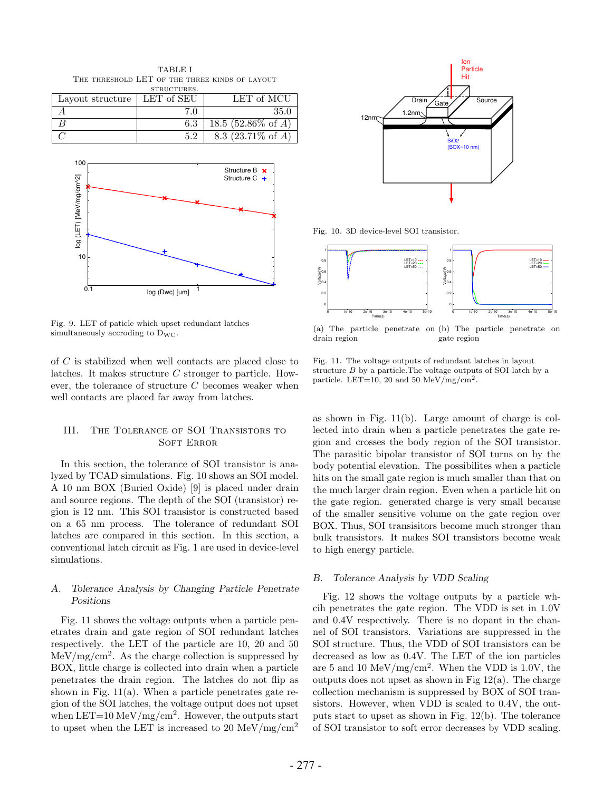TABLE I The threshold LET of the three kinds of layout STRUCTURES.

| Layout structure $\vert$ LET of SEU |     | LET of MCU                      |
|-------------------------------------|-----|---------------------------------|
|                                     | 70  | 35.0                            |
|                                     | 6.3 | 18.5 (52.86\% of A)             |
|                                     | 5.2 | $\overline{8.3}$ (23.71\% of A) |



Fig. 9. LET of paticle which upset redundant latches simultaneously accroding to  $D_{\text{WC}}$ .

of C is stabilized when well contacts are placed close to latches. It makes structure C stronger to particle. However, the tolerance of structure  $C$  becomes weaker when well contacts are placed far away from latches.

### III. The Tolerance of SOI Transistors to SOFT ERROR

In this section, the tolerance of SOI transistor is analyzed by TCAD simulations. Fig. 10 shows an SOI model. A 10 nm BOX (Buried Oxide) [9] is placed under drain and source regions. The depth of the SOI (transistor) region is 12 nm. This SOI transistor is constructed based on a 65 nm process. The tolerance of redundant SOI latches are compared in this section. In this section, a conventional latch circuit as Fig. 1 are used in device-level simulations.

# A. Tolerance Analysis by Changing Particle Penetrate Positions

Fig. 11 shows the voltage outputs when a particle penetrates drain and gate region of SOI redundant latches respectively. the LET of the particle are 10, 20 and 50  $\text{MeV}/\text{mg}/\text{cm}^2$ . As the charge collection is suppressed by BOX, little charge is collected into drain when a particle penetrates the drain region. The latches do not flip as shown in Fig. 11(a). When a particle penetrates gate region of the SOI latches, the voltage output does not upset when LET=10 MeV/mg/cm<sup>2</sup>. However, the outputs start to upset when the LET is increased to 20 MeV/mg/cm<sup>2</sup>



Fig. 10. 3D device-level SOI transistor.



(a) The particle penetrate on (b) The particle penetrate on drain region gate region

Fig. 11. The voltage outputs of redundant latches in layout structure  $B$  by a particle.<br>The voltage outputs of SOI latch by  ${\bf a}$ particle. LET=10, 20 and 50 MeV/mg/cm<sup>2</sup>.

as shown in Fig. 11(b). Large amount of charge is collected into drain when a particle penetrates the gate region and crosses the body region of the SOI transistor. The parasitic bipolar transistor of SOI turns on by the body potential elevation. The possibilites when a particle hits on the small gate region is much smaller than that on the much larger drain region. Even when a particle hit on the gate region. generated charge is very small because of the smaller sensitive volume on the gate region over BOX. Thus, SOI transisitors become much stronger than bulk transistors. It makes SOI transistors become weak to high energy particle.

#### B. Tolerance Analysis by VDD Scaling

Fig. 12 shows the voltage outputs by a particle whcih penetrates the gate region. The VDD is set in 1.0V and 0.4V respectively. There is no dopant in the channel of SOI transistors. Variations are suppressed in the SOI structure. Thus, the VDD of SOI transistors can be decreased as low as 0.4V. The LET of the ion particles are 5 and 10 MeV/mg/cm<sup>2</sup>. When the VDD is 1.0V, the outputs does not upset as shown in Fig  $12(a)$ . The charge collection mechanism is suppressed by BOX of SOI transistors. However, when VDD is scaled to 0.4V, the outputs start to upset as shown in Fig. 12(b). The tolerance of SOI transistor to soft error decreases by VDD scaling.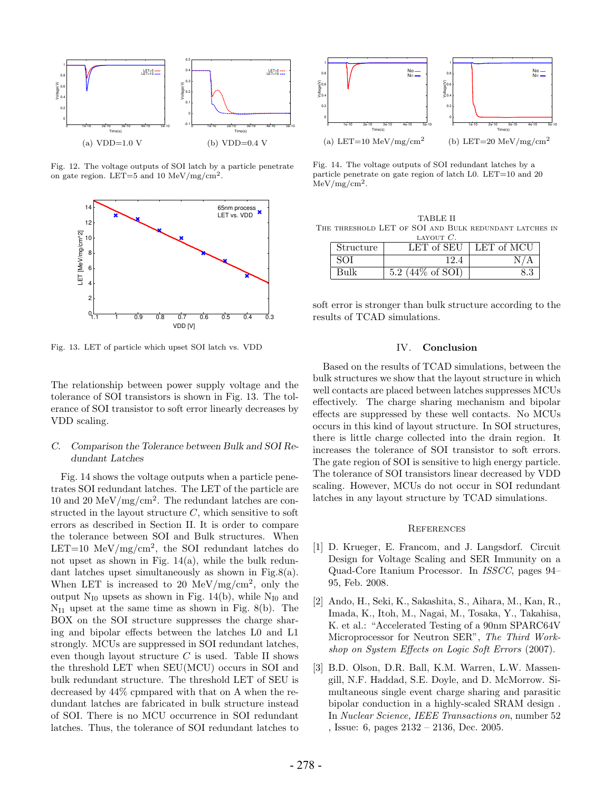

Fig. 12. The voltage outputs of SOI latch by a particle penetrate on gate region. LET=5 and 10 MeV/mg/cm<sup>2</sup>.



Fig. 13. LET of particle which upset SOI latch vs. VDD

The relationship between power supply voltage and the tolerance of SOI transistors is shown in Fig. 13. The tolerance of SOI transistor to soft error linearly decreases by VDD scaling.

### C. Comparison the Tolerance between Bulk and SOI Redundant Latches

Fig. 14 shows the voltage outputs when a particle penetrates SOI redundant latches. The LET of the particle are 10 and 20 MeV/mg/cm<sup>2</sup>. The redundant latches are constructed in the layout structure  $C$ , which sensitive to soft errors as described in Section II. It is order to compare the tolerance between SOI and Bulk structures. When LET=10 MeV/mg/cm<sup>2</sup>, the SOI redundant latches do not upset as shown in Fig. 14(a), while the bulk redundant latches upset simultaneously as shown in Fig.8(a). When LET is increased to 20 MeV/mg/cm<sup>2</sup>, only the output  $N_{I0}$  upsets as shown in Fig. 14(b), while  $N_{I0}$  and  $N_{11}$  upset at the same time as shown in Fig. 8(b). The BOX on the SOI structure suppresses the charge sharing and bipolar effects between the latches L0 and L1 strongly. MCUs are suppressed in SOI redundant latches, even though layout structure  $C$  is used. Table II shows the threshold LET when SEU(MCU) occurs in SOI and bulk redundant structure. The threshold LET of SEU is decreased by 44% cpmpared with that on A when the redundant latches are fabricated in bulk structure instead of SOI. There is no MCU occurrence in SOI redundant latches. Thus, the tolerance of SOI redundant latches to



Fig. 14. The voltage outputs of SOI redundant latches by a particle penetrate on gate region of latch L0. LET=10 and 20  $MeV/mg/cm<sup>2</sup>$ .

|                                                        |  | TABLE II     |  |  |  |
|--------------------------------------------------------|--|--------------|--|--|--|
| THE THRESHOLD LET OF SOI AND BULK REDUNDANT LATCHES IN |  |              |  |  |  |
|                                                        |  | LAYOUT $C$ . |  |  |  |

| Structure | LET of SEU                     | LET of MCU |
|-----------|--------------------------------|------------|
|           |                                |            |
| Bulk      | $(44\% \text{ of SOI})$<br>5.2 |            |

soft error is stronger than bulk structure according to the results of TCAD simulations.

#### IV. **Conclusion**

Based on the results of TCAD simulations, between the bulk structures we show that the layout structure in which well contacts are placed between latches suppresses MCUs effectively. The charge sharing mechanism and bipolar effects are suppressed by these well contacts. No MCUs occurs in this kind of layout structure. In SOI structures, there is little charge collected into the drain region. It increases the tolerance of SOI transistor to soft errors. The gate region of SOI is sensitive to high energy particle. The tolerance of SOI transistors linear decreased by VDD scaling. However, MCUs do not occur in SOI redundant latches in any layout structure by TCAD simulations.

#### **REFERENCES**

- [1] D. Krueger, E. Francom, and J. Langsdorf. Circuit Design for Voltage Scaling and SER Immunity on a Quad-Core Itanium Processor. In ISSCC, pages 94– 95, Feb. 2008.
- [2] Ando, H., Seki, K., Sakashita, S., Aihara, M., Kan, R., Imada, K., Itoh, M., Nagai, M., Tosaka, Y., Takahisa, K. et al.: "Accelerated Testing of a 90nm SPARC64V Microprocessor for Neutron SER", The Third Workshop on System Effects on Logic Soft Errors (2007).
- [3] B.D. Olson, D.R. Ball, K.M. Warren, L.W. Massengill, N.F. Haddad, S.E. Doyle, and D. McMorrow. Simultaneous single event charge sharing and parasitic bipolar conduction in a highly-scaled SRAM design . In Nuclear Science, IEEE Transactions on, number 52 , Issue: 6, pages 2132 – 2136, Dec. 2005.